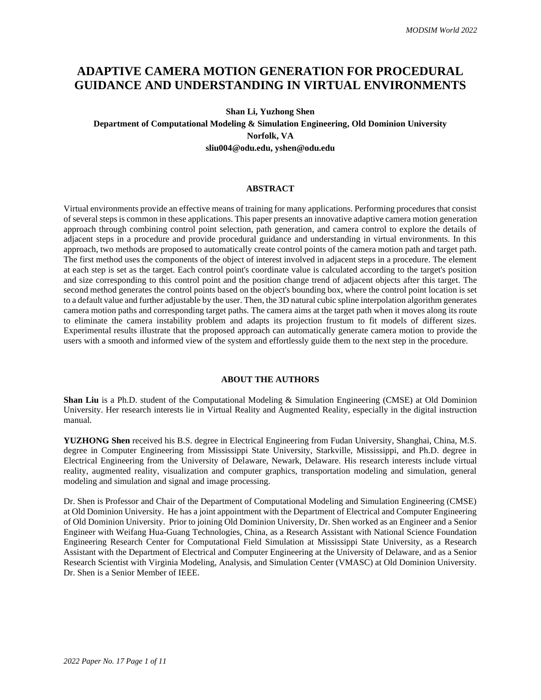# **ADAPTIVE CAMERA MOTION GENERATION FOR PROCEDURAL GUIDANCE AND UNDERSTANDING IN VIRTUAL ENVIRONMENTS**

## **Shan Li, Yuzhong Shen**

**Department of Computational Modeling & Simulation Engineering, Old Dominion University Norfolk, VA sliu004@odu.edu, yshen@odu.edu**

#### **ABSTRACT**

Virtual environments provide an effective means of training for many applications. Performing procedures that consist of several steps is common in these applications. This paper presents an innovative adaptive camera motion generation approach through combining control point selection, path generation, and camera control to explore the details of adjacent steps in a procedure and provide procedural guidance and understanding in virtual environments. In this approach, two methods are proposed to automatically create control points of the camera motion path and target path. The first method uses the components of the object of interest involved in adjacent steps in a procedure. The element at each step is set as the target. Each control point's coordinate value is calculated according to the target's position and size corresponding to this control point and the position change trend of adjacent objects after this target. The second method generates the control points based on the object's bounding box, where the control point location is set to a default value and further adjustable by the user. Then, the 3D natural cubic spline interpolation algorithm generates camera motion paths and corresponding target paths. The camera aims at the target path when it moves along its route to eliminate the camera instability problem and adapts its projection frustum to fit models of different sizes. Experimental results illustrate that the proposed approach can automatically generate camera motion to provide the users with a smooth and informed view of the system and effortlessly guide them to the next step in the procedure.

## **ABOUT THE AUTHORS**

**Shan Liu** is a Ph.D. student of the Computational Modeling & Simulation Engineering (CMSE) at Old Dominion University. Her research interests lie in Virtual Reality and Augmented Reality, especially in the digital instruction manual.

**YUZHONG Shen** received his B.S. degree in Electrical Engineering from Fudan University, Shanghai, China, M.S. degree in Computer Engineering from Mississippi State University, Starkville, Mississippi, and Ph.D. degree in Electrical Engineering from the University of Delaware, Newark, Delaware. His research interests include virtual reality, augmented reality, visualization and computer graphics, transportation modeling and simulation, general modeling and simulation and signal and image processing.

Dr. Shen is Professor and Chair of the Department of Computational Modeling and Simulation Engineering (CMSE) at Old Dominion University. He has a joint appointment with the Department of Electrical and Computer Engineering of Old Dominion University. Prior to joining Old Dominion University, Dr. Shen worked as an Engineer and a Senior Engineer with Weifang Hua-Guang Technologies, China, as a Research Assistant with National Science Foundation Engineering Research Center for Computational Field Simulation at Mississippi State University, as a Research Assistant with the Department of Electrical and Computer Engineering at the University of Delaware, and as a Senior Research Scientist with Virginia Modeling, Analysis, and Simulation Center (VMASC) at Old Dominion University. Dr. Shen is a Senior Member of IEEE.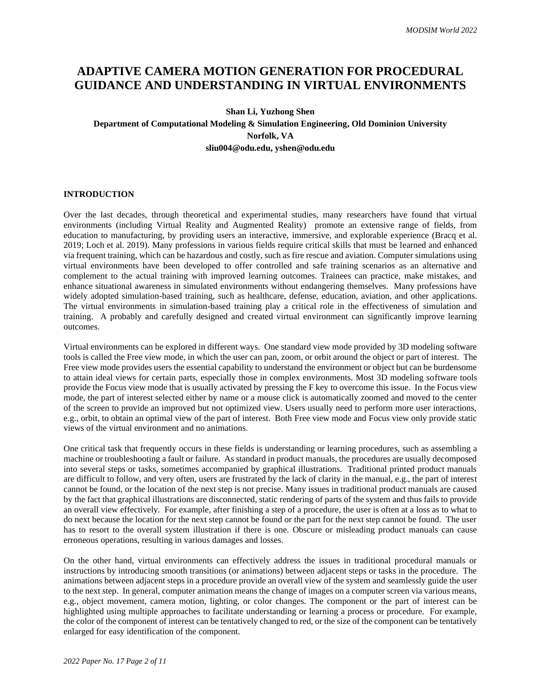# **ADAPTIVE CAMERA MOTION GENERATION FOR PROCEDURAL GUIDANCE AND UNDERSTANDING IN VIRTUAL ENVIRONMENTS**

## **Shan Li, Yuzhong Shen**

## **Department of Computational Modeling & Simulation Engineering, Old Dominion University Norfolk, VA sliu004@odu.edu, yshen@odu.edu**

## **INTRODUCTION**

Over the last decades, through theoretical and experimental studies, many researchers have found that virtual environments (including Virtual Reality and Augmented Reality) promote an extensive range of fields, from education to manufacturing, by providing users an interactive, immersive, and explorable experience (Bracq et al. 2019; Loch et al. 2019). Many professions in various fields require critical skills that must be learned and enhanced via frequent training, which can be hazardous and costly, such as fire rescue and aviation. Computer simulations using virtual environments have been developed to offer controlled and safe training scenarios as an alternative and complement to the actual training with improved learning outcomes. Trainees can practice, make mistakes, and enhance situational awareness in simulated environments without endangering themselves. Many professions have widely adopted simulation-based training, such as healthcare, defense, education, aviation, and other applications. The virtual environments in simulation-based training play a critical role in the effectiveness of simulation and training. A probably and carefully designed and created virtual environment can significantly improve learning outcomes.

Virtual environments can be explored in different ways. One standard view mode provided by 3D modeling software tools is called the Free view mode, in which the user can pan, zoom, or orbit around the object or part of interest. The Free view mode provides users the essential capability to understand the environment or object but can be burdensome to attain ideal views for certain parts, especially those in complex environments. Most 3D modeling software tools provide the Focus view mode that is usually activated by pressing the F key to overcome this issue. In the Focus view mode, the part of interest selected either by name or a mouse click is automatically zoomed and moved to the center of the screen to provide an improved but not optimized view. Users usually need to perform more user interactions, e.g., orbit, to obtain an optimal view of the part of interest. Both Free view mode and Focus view only provide static views of the virtual environment and no animations.

One critical task that frequently occurs in these fields is understanding or learning procedures, such as assembling a machine or troubleshooting a fault or failure. As standard in product manuals, the procedures are usually decomposed into several steps or tasks, sometimes accompanied by graphical illustrations. Traditional printed product manuals are difficult to follow, and very often, users are frustrated by the lack of clarity in the manual, e.g., the part of interest cannot be found, or the location of the next step is not precise. Many issues in traditional product manuals are caused by the fact that graphical illustrations are disconnected, static rendering of parts of the system and thus fails to provide an overall view effectively. For example, after finishing a step of a procedure, the user is often at a loss as to what to do next because the location for the next step cannot be found or the part for the next step cannot be found. The user has to resort to the overall system illustration if there is one. Obscure or misleading product manuals can cause erroneous operations, resulting in various damages and losses.

On the other hand, virtual environments can effectively address the issues in traditional procedural manuals or instructions by introducing smooth transitions (or animations) between adjacent steps or tasks in the procedure. The animations between adjacent steps in a procedure provide an overall view of the system and seamlessly guide the user to the next step. In general, computer animation means the change of images on a computer screen via various means, e.g., object movement, camera motion, lighting, or color changes. The component or the part of interest can be highlighted using multiple approaches to facilitate understanding or learning a process or procedure. For example, the color of the component of interest can be tentatively changed to red, or the size of the component can be tentatively enlarged for easy identification of the component.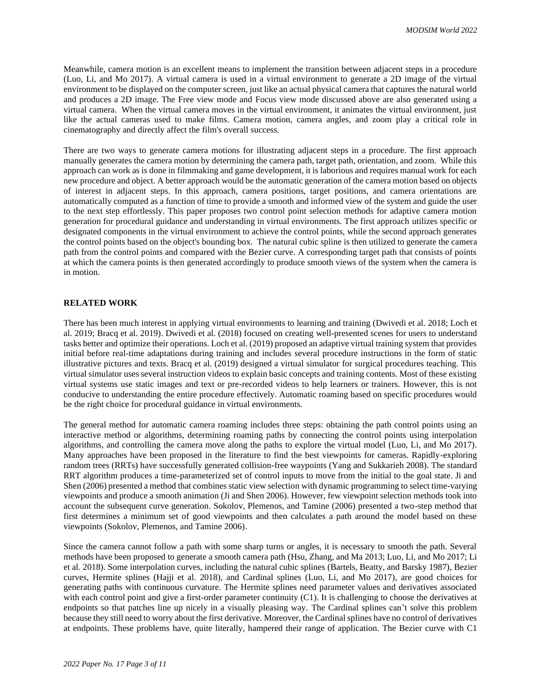Meanwhile, camera motion is an excellent means to implement the transition between adjacent steps in a procedure (Luo, Li, and Mo 2017). A virtual camera is used in a virtual environment to generate a 2D image of the virtual environment to be displayed on the computer screen, just like an actual physical camera that captures the natural world and produces a 2D image. The Free view mode and Focus view mode discussed above are also generated using a virtual camera. When the virtual camera moves in the virtual environment, it animates the virtual environment, just like the actual cameras used to make films. Camera motion, camera angles, and zoom play a critical role in cinematography and directly affect the film's overall success.

There are two ways to generate camera motions for illustrating adjacent steps in a procedure. The first approach manually generates the camera motion by determining the camera path, target path, orientation, and zoom. While this approach can work as is done in filmmaking and game development, it is laborious and requires manual work for each new procedure and object. A better approach would be the automatic generation of the camera motion based on objects of interest in adjacent steps. In this approach, camera positions, target positions, and camera orientations are automatically computed as a function of time to provide a smooth and informed view of the system and guide the user to the next step effortlessly. This paper proposes two control point selection methods for adaptive camera motion generation for procedural guidance and understanding in virtual environments. The first approach utilizes specific or designated components in the virtual environment to achieve the control points, while the second approach generates the control points based on the object's bounding box. The natural cubic spline is then utilized to generate the camera path from the control points and compared with the Bezier curve. A corresponding target path that consists of points at which the camera points is then generated accordingly to produce smooth views of the system when the camera is in motion.

## **RELATED WORK**

There has been much interest in applying virtual environments to learning and training (Dwivedi et al. 2018; Loch et al. 2019; Bracq et al. 2019). Dwivedi et al. (2018) focused on creating well-presented scenes for users to understand tasks better and optimize their operations. Loch et al. (2019) proposed an adaptive virtual training system that provides initial before real-time adaptations during training and includes several procedure instructions in the form of static illustrative pictures and texts. Bracq et al. (2019) designed a virtual simulator for surgical procedures teaching. This virtual simulator uses several instruction videos to explain basic concepts and training contents. Most of these existing virtual systems use static images and text or pre-recorded videos to help learners or trainers. However, this is not conducive to understanding the entire procedure effectively. Automatic roaming based on specific procedures would be the right choice for procedural guidance in virtual environments.

The general method for automatic camera roaming includes three steps: obtaining the path control points using an interactive method or algorithms, determining roaming paths by connecting the control points using interpolation algorithms, and controlling the camera move along the paths to explore the virtual model (Luo, Li, and Mo 2017). Many approaches have been proposed in the literature to find the best viewpoints for cameras. Rapidly-exploring random trees (RRTs) have successfully generated collision-free waypoints (Yang and Sukkarieh 2008). The standard RRT algorithm produces a time-parameterized set of control inputs to move from the initial to the goal state. Ji and Shen (2006) presented a method that combines static view selection with dynamic programming to select time-varying viewpoints and produce a smooth animation (Ji and Shen 2006). However, few viewpoint selection methods took into account the subsequent curve generation. Sokolov, Plemenos, and Tamine (2006) presented a two-step method that first determines a minimum set of good viewpoints and then calculates a path around the model based on these viewpoints (Sokolov, Plemenos, and Tamine 2006).

Since the camera cannot follow a path with some sharp turns or angles, it is necessary to smooth the path. Several methods have been proposed to generate a smooth camera path (Hsu, Zhang, and Ma 2013; Luo, Li, and Mo 2017; Li et al. 2018). Some interpolation curves, including the natural cubic splines (Bartels, Beatty, and Barsky 1987), Bezier curves, Hermite splines (Hajji et al. 2018), and Cardinal splines (Luo, Li, and Mo 2017), are good choices for generating paths with continuous curvature. The Hermite splines need parameter values and derivatives associated with each control point and give a first-order parameter continuity (C1). It is challenging to choose the derivatives at endpoints so that patches line up nicely in a visually pleasing way. The Cardinal splines can't solve this problem because they still need to worry about the first derivative. Moreover, the Cardinal splines have no control of derivatives at endpoints. These problems have, quite literally, hampered their range of application. The Bezier curve with C1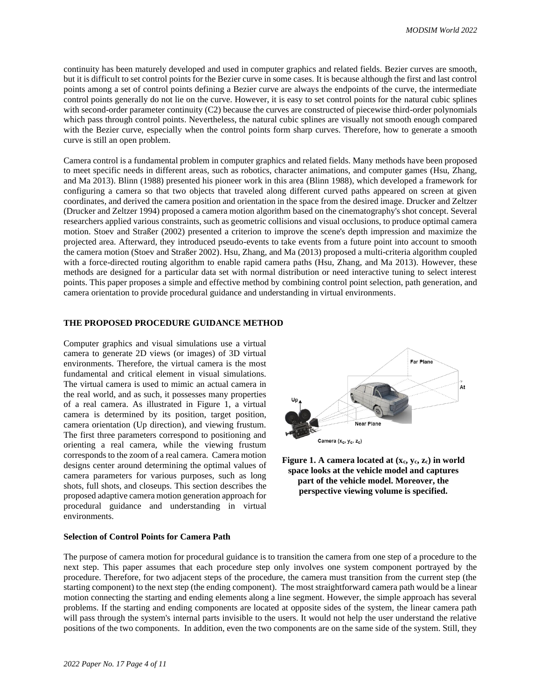continuity has been maturely developed and used in computer graphics and related fields. Bezier curves are smooth, but it is difficult to set control points for the Bezier curve in some cases. It is because although the first and last control points among a set of control points defining a Bezier curve are always the endpoints of the curve, the intermediate control points generally do not lie on the curve. However, it is easy to set control points for the natural cubic splines with second-order parameter continuity (C2) because the curves are constructed of piecewise third-order polynomials which pass through control points. Nevertheless, the natural cubic splines are visually not smooth enough compared with the Bezier curve, especially when the control points form sharp curves. Therefore, how to generate a smooth curve is still an open problem.

Camera control is a fundamental problem in computer graphics and related fields. Many methods have been proposed to meet specific needs in different areas, such as robotics, character animations, and computer games (Hsu, Zhang, and Ma 2013). Blinn (1988) presented his pioneer work in this area (Blinn 1988), which developed a framework for configuring a camera so that two objects that traveled along different curved paths appeared on screen at given coordinates, and derived the camera position and orientation in the space from the desired image. Drucker and Zeltzer (Drucker and Zeltzer 1994) proposed a camera motion algorithm based on the cinematography's shot concept. Several researchers applied various constraints, such as geometric collisions and visual occlusions, to produce optimal camera motion. Stoev and Straßer (2002) presented a criterion to improve the scene's depth impression and maximize the projected area. Afterward, they introduced pseudo-events to take events from a future point into account to smooth the camera motion (Stoev and Straßer 2002). Hsu, Zhang, and Ma (2013) proposed a multi-criteria algorithm coupled with a force-directed routing algorithm to enable rapid camera paths (Hsu, Zhang, and Ma 2013). However, these methods are designed for a particular data set with normal distribution or need interactive tuning to select interest points. This paper proposes a simple and effective method by combining control point selection, path generation, and camera orientation to provide procedural guidance and understanding in virtual environments.

## **THE PROPOSED PROCEDURE GUIDANCE METHOD**

Computer graphics and visual simulations use a virtual camera to generate 2D views (or images) of 3D virtual environments. Therefore, the virtual camera is the most fundamental and critical element in visual simulations. The virtual camera is used to mimic an actual camera in the real world, and as such, it possesses many properties of a real camera. As illustrated in Figure 1, a virtual camera is determined by its position, target position, camera orientation (Up direction), and viewing frustum. The first three parameters correspond to positioning and orienting a real camera, while the viewing frustum corresponds to the zoom of a real camera. Camera motion designs center around determining the optimal values of camera parameters for various purposes, such as long shots, full shots, and closeups. This section describes the proposed adaptive camera motion generation approach for procedural guidance and understanding in virtual environments.





#### **Selection of Control Points for Camera Path**

The purpose of camera motion for procedural guidance is to transition the camera from one step of a procedure to the next step. This paper assumes that each procedure step only involves one system component portrayed by the procedure. Therefore, for two adjacent steps of the procedure, the camera must transition from the current step (the starting component) to the next step (the ending component). The most straightforward camera path would be a linear motion connecting the starting and ending elements along a line segment. However, the simple approach has several problems. If the starting and ending components are located at opposite sides of the system, the linear camera path will pass through the system's internal parts invisible to the users. It would not help the user understand the relative positions of the two components. In addition, even the two components are on the same side of the system. Still, they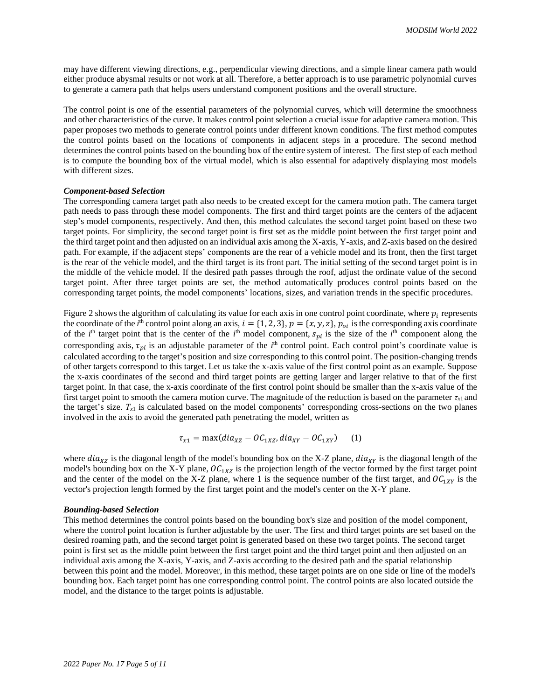may have different viewing directions, e.g., perpendicular viewing directions, and a simple linear camera path would either produce abysmal results or not work at all. Therefore, a better approach is to use parametric polynomial curves to generate a camera path that helps users understand component positions and the overall structure.

The control point is one of the essential parameters of the polynomial curves, which will determine the smoothness and other characteristics of the curve. It makes control point selection a crucial issue for adaptive camera motion. This paper proposes two methods to generate control points under different known conditions. The first method computes the control points based on the locations of components in adjacent steps in a procedure. The second method determines the control points based on the bounding box of the entire system of interest. The first step of each method is to compute the bounding box of the virtual model, which is also essential for adaptively displaying most models with different sizes.

### *Component-based Selection*

The corresponding camera target path also needs to be created except for the camera motion path. The camera target path needs to pass through these model components. The first and third target points are the centers of the adjacent step's model components, respectively. And then, this method calculates the second target point based on these two target points. For simplicity, the second target point is first set as the middle point between the first target point and the third target point and then adjusted on an individual axis among the X-axis, Y-axis, and Z-axis based on the desired path. For example, if the adjacent steps' components are the rear of a vehicle model and its front, then the first target is the rear of the vehicle model, and the third target is its front part. The initial setting of the second target point is in the middle of the vehicle model. If the desired path passes through the roof, adjust the ordinate value of the second target point. After three target points are set, the method automatically produces control points based on the corresponding target points, the model components' locations, sizes, and variation trends in the specific procedures.

Figure 2 shows the algorithm of calculating its value for each axis in one control point coordinate, where  $p_i$  represents the coordinate of the *i*<sup>th</sup> control point along an axis,  $i = \{1, 2, 3\}$ ,  $p = \{x, y, z\}$ ,  $p_{oi}$  is the corresponding axis coordinate of the *i*<sup>th</sup> target point that is the center of the *i*<sup>th</sup> model component,  $s_{pi}$  is the size of the *i*<sup>th</sup> component along the corresponding axis,  $\tau_{pi}$  is an adjustable parameter of the  $i^{\text{th}}$  control point. Each control point's coordinate value is calculated according to the target's position and size corresponding to this control point. The position-changing trends of other targets correspond to this target. Let us take the x-axis value of the first control point as an example. Suppose the x-axis coordinates of the second and third target points are getting larger and larger relative to that of the first target point. In that case, the x-axis coordinate of the first control point should be smaller than the x-axis value of the first target point to smooth the camera motion curve. The magnitude of the reduction is based on the parameter  $\tau_{x1}$  and the target's size. *Τx*<sup>1</sup> is calculated based on the model components' corresponding cross-sections on the two planes involved in the axis to avoid the generated path penetrating the model, written as

$$
\tau_{x1} = \max(diaz - OC_{1XZ}, dia_{XY} - OC_{1XY}) \qquad (1)
$$

where  $dia_{XZ}$  is the diagonal length of the model's bounding box on the X-Z plane,  $dia_{XY}$  is the diagonal length of the model's bounding box on the X-Y plane,  $O C_{1XZ}$  is the projection length of the vector formed by the first target point and the center of the model on the X-Z plane, where 1 is the sequence number of the first target, and  $OC_{1XY}$  is the vector's projection length formed by the first target point and the model's center on the X-Y plane.

### *Bounding-based Selection*

This method determines the control points based on the bounding box's size and position of the model component, where the control point location is further adjustable by the user. The first and third target points are set based on the desired roaming path, and the second target point is generated based on these two target points. The second target point is first set as the middle point between the first target point and the third target point and then adjusted on an individual axis among the X-axis, Y-axis, and Z-axis according to the desired path and the spatial relationship between this point and the model. Moreover, in this method, these target points are on one side or line of the model's bounding box. Each target point has one corresponding control point. The control points are also located outside the model, and the distance to the target points is adjustable.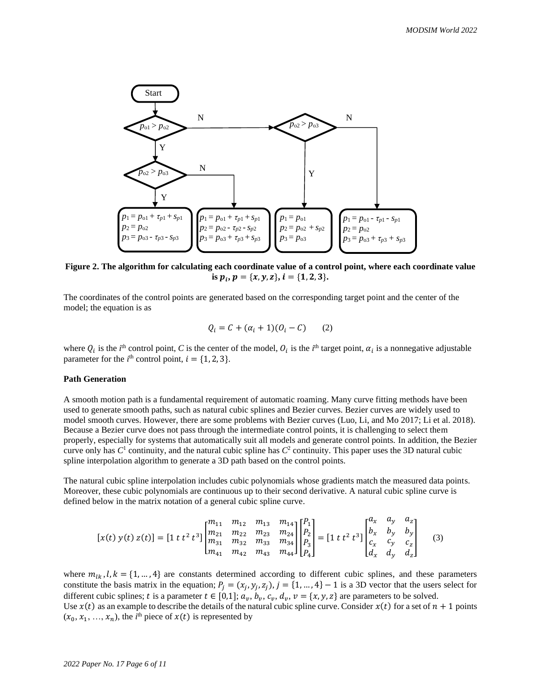

**Figure 2. The algorithm for calculating each coordinate value of a control point, where each coordinate value is**  $p_i$ ,  $p = \{x, y, z\}$ ,  $i = \{1, 2, 3\}$ .

The coordinates of the control points are generated based on the corresponding target point and the center of the model; the equation is as

$$
Q_i = C + (\alpha_i + 1)(O_i - C) \qquad (2)
$$

where  $Q_i$  is the *i*<sup>th</sup> control point, *C* is the center of the model,  $O_i$  is the *i*<sup>th</sup> target point,  $\alpha_i$  is a nonnegative adjustable parameter for the  $i^{\text{th}}$  control point,  $i = \{1, 2, 3\}.$ 

## **Path Generation**

A smooth motion path is a fundamental requirement of automatic roaming. Many curve fitting methods have been used to generate smooth paths, such as natural cubic splines and Bezier curves. Bezier curves are widely used to model smooth curves. However, there are some problems with Bezier curves (Luo, Li, and Mo 2017; Li et al. 2018). Because a Bezier curve does not pass through the intermediate control points, it is challenging to select them properly, especially for systems that automatically suit all models and generate control points. In addition, the Bezier curve only has  $C^1$  continuity, and the natural cubic spline has  $C^2$  continuity. This paper uses the 3D natural cubic spline interpolation algorithm to generate a 3D path based on the control points.

The natural cubic spline interpolation includes cubic polynomials whose gradients match the measured data points. Moreover, these cubic polynomials are continuous up to their second derivative. A natural cubic spline curve is defined below in the matrix notation of a general cubic spline curve.

$$
[x(t) y(t) z(t)] = [1 t t^{2} t^{3}] \begin{bmatrix} m_{11} & m_{12} & m_{13} & m_{14} \\ m_{21} & m_{22} & m_{23} & m_{24} \\ m_{31} & m_{32} & m_{33} & m_{34} \\ m_{41} & m_{42} & m_{43} & m_{44} \end{bmatrix} \begin{bmatrix} P_{1} \\ P_{2} \\ P_{3} \\ P_{4} \end{bmatrix} = [1 t t^{2} t^{3}] \begin{bmatrix} a_{x} & a_{y} & a_{z} \\ b_{x} & b_{y} & b_{y} \\ c_{x} & c_{y} & c_{z} \\ d_{x} & d_{y} & d_{z} \end{bmatrix}
$$
(3)

where  $m_{lk}$ ,  $l, k = \{1, ..., 4\}$  are constants determined according to different cubic splines, and these parameters constitute the basis matrix in the equation;  $P_j = (x_j, y_j, z_j), j = \{1, ..., 4\} - 1$  is a 3D vector that the users select for different cubic splines; t is a parameter  $t \in [0,1]$ ;  $a_v$ ,  $b_v$ ,  $c_v$ ,  $d_v$ ,  $v = \{x, y, z\}$  are parameters to be solved. Use  $x(t)$  as an example to describe the details of the natural cubic spline curve. Consider  $x(t)$  for a set of  $n + 1$  points  $(x_0, x_1, ..., x_n)$ , the *i*<sup>th</sup> piece of  $x(t)$  is represented by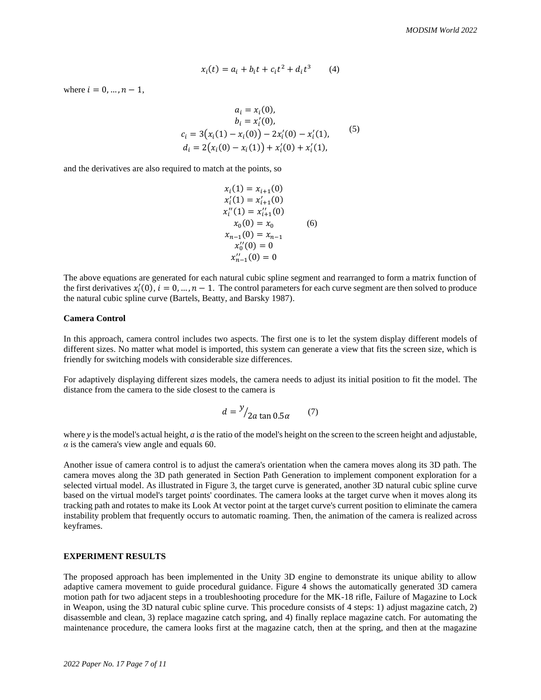$$
x_i(t) = a_i + b_i t + c_i t^2 + d_i t^3 \tag{4}
$$

where  $i = 0, ..., n - 1$ ,

$$
a_i = x_i(0),
$$
  
\n
$$
b_i = x'_i(0),
$$
  
\n
$$
c_i = 3(x_i(1) - x_i(0)) - 2x'_i(0) - x'_i(1),
$$
  
\n
$$
d_i = 2(x_i(0) - x_i(1)) + x'_i(0) + x'_i(1),
$$
\n(5)

 $\sim$ 

and the derivatives are also required to match at the points, so

$$
x_i(1) = x_{i+1}(0)
$$
  
\n
$$
x'_i(1) = x'_{i+1}(0)
$$
  
\n
$$
x''_i(1) = x''_{i+1}(0)
$$
  
\n
$$
x_0(0) = x_0
$$
  
\n
$$
x_{n-1}(0) = x_{n-1}
$$
  
\n
$$
x''_0(0) = 0
$$
  
\n
$$
x''_{n-1}(0) = 0
$$

The above equations are generated for each natural cubic spline segment and rearranged to form a matrix function of the first derivatives  $x'_i(0)$ ,  $i = 0, ..., n - 1$ . The control parameters for each curve segment are then solved to produce the natural cubic spline curve (Bartels, Beatty, and Barsky 1987).

#### **Camera Control**

In this approach, camera control includes two aspects. The first one is to let the system display different models of different sizes. No matter what model is imported, this system can generate a view that fits the screen size, which is friendly for switching models with considerable size differences.

For adaptively displaying different sizes models, the camera needs to adjust its initial position to fit the model. The distance from the camera to the side closest to the camera is

$$
d = \frac{y}{2a \tan 0.5a} \tag{7}
$$

where *y* is the model's actual height, *a* is the ratio of the model's height on the screen to the screen height and adjustable,  $\alpha$  is the camera's view angle and equals 60.

Another issue of camera control is to adjust the camera's orientation when the camera moves along its 3D path. The camera moves along the 3D path generated in Section Path Generation to implement component exploration for a selected virtual model. As illustrated in Figure 3, the target curve is generated, another 3D natural cubic spline curve based on the virtual model's target points' coordinates. The camera looks at the target curve when it moves along its tracking path and rotates to make its Look At vector point at the target curve's current position to eliminate the camera instability problem that frequently occurs to automatic roaming. Then, the animation of the camera is realized across keyframes.

## **EXPERIMENT RESULTS**

The proposed approach has been implemented in the Unity 3D engine to demonstrate its unique ability to allow adaptive camera movement to guide procedural guidance. Figure 4 shows the automatically generated 3D camera motion path for two adjacent steps in a troubleshooting procedure for the MK-18 rifle, Failure of Magazine to Lock in Weapon, using the 3D natural cubic spline curve. This procedure consists of 4 steps: 1) adjust magazine catch, 2) disassemble and clean, 3) replace magazine catch spring, and 4) finally replace magazine catch. For automating the maintenance procedure, the camera looks first at the magazine catch, then at the spring, and then at the magazine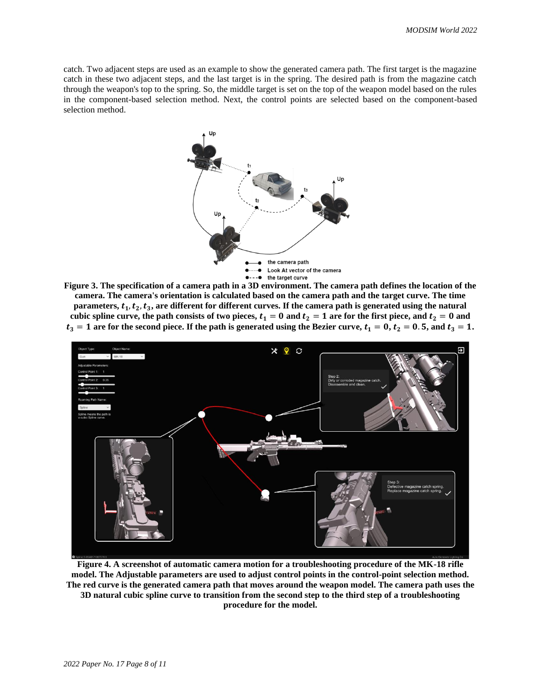catch. Two adjacent steps are used as an example to show the generated camera path. The first target is the magazine catch in these two adjacent steps, and the last target is in the spring. The desired path is from the magazine catch through the weapon's top to the spring. So, the middle target is set on the top of the weapon model based on the rules in the component-based selection method. Next, the control points are selected based on the component-based selection method.



**Figure 3. The specification of a camera path in a 3D environment. The camera path defines the location of the camera. The camera's orientation is calculated based on the camera path and the target curve. The time**  parameters,  $t_1, t_2, t_3$ , are different for different curves. If the camera path is generated using the natural cubic spline curve, the path consists of two pieces,  $t_1 = 0$  and  $t_2 = 1$  are for the first piece, and  $t_2 = 0$  and  $t_3 = 1$  are for the second piece. If the path is generated using the Bezier curve,  $t_1 = 0$ ,  $t_2 = 0.5$ , and  $t_3 = 1$ .



**Figure 4. A screenshot of automatic camera motion for a troubleshooting procedure of the MK-18 rifle model. The Adjustable parameters are used to adjust control points in the control-point selection method. The red curve is the generated camera path that moves around the weapon model. The camera path uses the 3D natural cubic spline curve to transition from the second step to the third step of a troubleshooting procedure for the model.**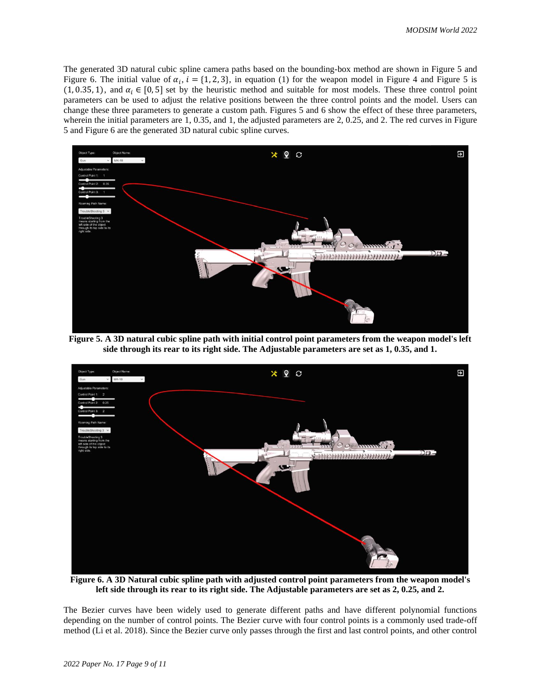The generated 3D natural cubic spline camera paths based on the bounding-box method are shown in Figure 5 and Figure 6. The initial value of  $\alpha_i$ ,  $i = \{1, 2, 3\}$ , in equation (1) for the weapon model in Figure 4 and Figure 5 is (1, 0.35, 1), and  $\alpha_i \in [0, 5]$  set by the heuristic method and suitable for most models. These three control point parameters can be used to adjust the relative positions between the three control points and the model. Users can change these three parameters to generate a custom path. Figures 5 and 6 show the effect of these three parameters, wherein the initial parameters are 1, 0.35, and 1, the adjusted parameters are 2, 0.25, and 2. The red curves in Figure 5 and Figure 6 are the generated 3D natural cubic spline curves.



**Figure 5. A 3D natural cubic spline path with initial control point parameters from the weapon model's left side through its rear to its right side. The Adjustable parameters are set as 1, 0.35, and 1.**



**Figure 6. A 3D Natural cubic spline path with adjusted control point parameters from the weapon model's left side through its rear to its right side. The Adjustable parameters are set as 2, 0.25, and 2.**

The Bezier curves have been widely used to generate different paths and have different polynomial functions depending on the number of control points. The Bezier curve with four control points is a commonly used trade-off method (Li et al. 2018). Since the Bezier curve only passes through the first and last control points, and other control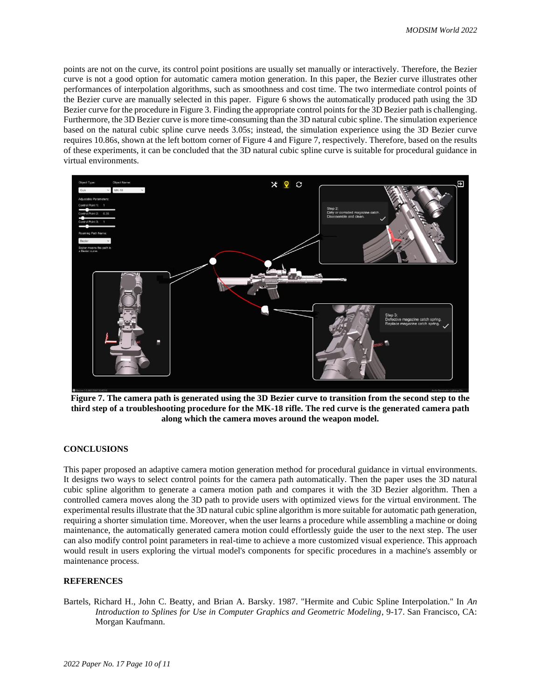points are not on the curve, its control point positions are usually set manually or interactively. Therefore, the Bezier curve is not a good option for automatic camera motion generation. In this paper, the Bezier curve illustrates other performances of interpolation algorithms, such as smoothness and cost time. The two intermediate control points of the Bezier curve are manually selected in this paper. Figure 6 shows the automatically produced path using the 3D Bezier curve for the procedure in Figure 3. Finding the appropriate control points for the 3D Bezier path is challenging. Furthermore, the 3D Bezier curve is more time-consuming than the 3D natural cubic spline. The simulation experience based on the natural cubic spline curve needs 3.05s; instead, the simulation experience using the 3D Bezier curve requires 10.86s, shown at the left bottom corner of Figure 4 and Figure 7, respectively. Therefore, based on the results of these experiments, it can be concluded that the 3D natural cubic spline curve is suitable for procedural guidance in virtual environments.



**Figure 7. The camera path is generated using the 3D Bezier curve to transition from the second step to the third step of a troubleshooting procedure for the MK-18 rifle. The red curve is the generated camera path along which the camera moves around the weapon model.**

## **CONCLUSIONS**

This paper proposed an adaptive camera motion generation method for procedural guidance in virtual environments. It designs two ways to select control points for the camera path automatically. Then the paper uses the 3D natural cubic spline algorithm to generate a camera motion path and compares it with the 3D Bezier algorithm. Then a controlled camera moves along the 3D path to provide users with optimized views for the virtual environment. The experimental results illustrate that the 3D natural cubic spline algorithm is more suitable for automatic path generation, requiring a shorter simulation time. Moreover, when the user learns a procedure while assembling a machine or doing maintenance, the automatically generated camera motion could effortlessly guide the user to the next step. The user can also modify control point parameters in real-time to achieve a more customized visual experience. This approach would result in users exploring the virtual model's components for specific procedures in a machine's assembly or maintenance process.

### **REFERENCES**

Bartels, Richard H., John C. Beatty, and Brian A. Barsky. 1987. "Hermite and Cubic Spline Interpolation." In *An Introduction to Splines for Use in Computer Graphics and Geometric Modeling*, 9-17. San Francisco, CA: Morgan Kaufmann.